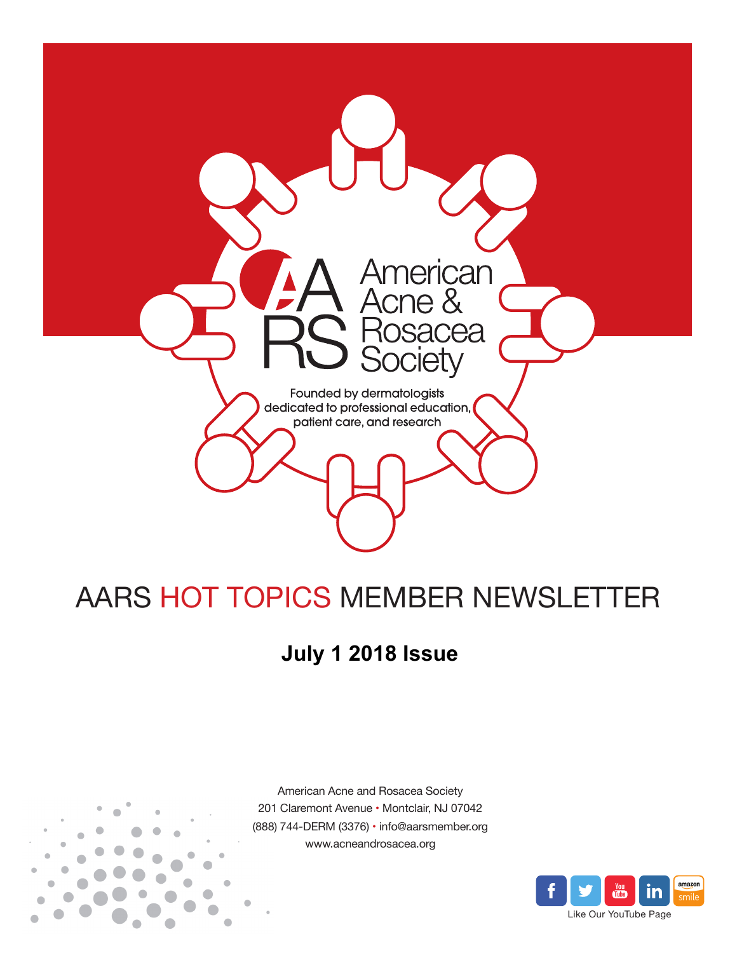

# AARS HOT TOPICS MEMBER NEWSLETTER

## **July 1 2018 Issue**



American Acne and Rosacea Society 201 Claremont Avenue • Montclair, NJ 07042 (888) 744-DERM (3376) • info@aarsmember.org www.acneandrosacea.org

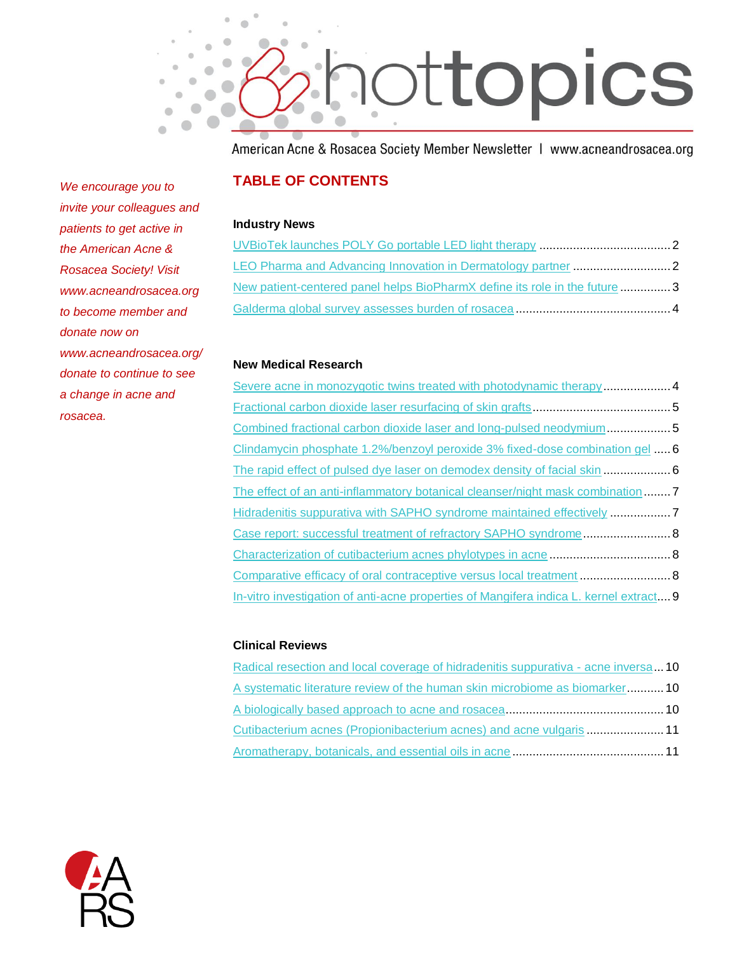

American Acne & Rosacea Society Member Newsletter | www.acneandrosacea.org

#### **TABLE OF CONTENTS**

#### **Industry News**

| New patient-centered panel helps BioPharmX define its role in the future3 |  |
|---------------------------------------------------------------------------|--|
|                                                                           |  |

#### **New Medical Research**

| Severe acne in monozygotic twins treated with photodynamic therapy 4                   |  |
|----------------------------------------------------------------------------------------|--|
|                                                                                        |  |
| Combined fractional carbon dioxide laser and long-pulsed neodymium5                    |  |
| Clindamycin phosphate 1.2%/benzoyl peroxide 3% fixed-dose combination gel  6           |  |
|                                                                                        |  |
| The effect of an anti-inflammatory botanical cleanser/night mask combination  7        |  |
| Hidradenitis suppurativa with SAPHO syndrome maintained effectively 7                  |  |
| Case report: successful treatment of refractory SAPHO syndrome 8                       |  |
|                                                                                        |  |
|                                                                                        |  |
| In-vitro investigation of anti-acne properties of Mangifera indica L. kernel extract 9 |  |

#### **Clinical Reviews**

| Radical resection and local coverage of hidradenitis suppurativa - acne inversa 10 |  |
|------------------------------------------------------------------------------------|--|
| A systematic literature review of the human skin microbiome as biomarker 10        |  |
|                                                                                    |  |
| Cutibacterium acnes (Propionibacterium acnes) and acne vulgaris  11                |  |
|                                                                                    |  |



*We encourage you to invite your colleagues and patients to get active in the American Acne & Rosacea Society! Visit www.acneandrosacea.org to become member and donate now on www.acneandrosacea.org/ donate to continue to see a change in acne and rosacea.*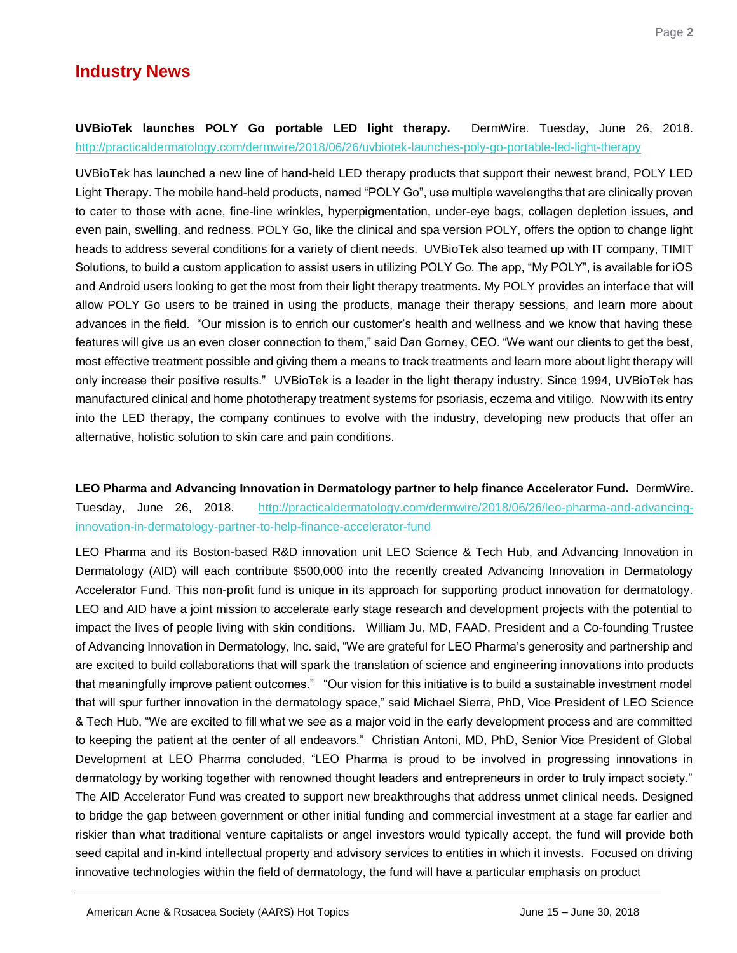### **Industry News**

Page **2**

#### <span id="page-2-0"></span>**UVBioTek launches POLY Go portable LED light therapy.** DermWire. Tuesday, June 26, 2018. <http://practicaldermatology.com/dermwire/2018/06/26/uvbiotek-launches-poly-go-portable-led-light-therapy>

UVBioTek has launched a new line of hand-held LED therapy products that support their newest brand, POLY LED Light Therapy. The mobile hand-held products, named "POLY Go", use multiple wavelengths that are clinically proven to cater to those with acne, fine-line wrinkles, hyperpigmentation, under-eye bags, collagen depletion issues, and even pain, swelling, and redness. POLY Go, like the clinical and spa version POLY, offers the option to change light heads to address several conditions for a variety of client needs. UVBioTek also teamed up with IT company, TIMIT Solutions, to build a custom application to assist users in utilizing POLY Go. The app, "My POLY", is available for iOS and Android users looking to get the most from their light therapy treatments. My POLY provides an interface that will allow POLY Go users to be trained in using the products, manage their therapy sessions, and learn more about advances in the field. "Our mission is to enrich our customer's health and wellness and we know that having these features will give us an even closer connection to them," said Dan Gorney, CEO. "We want our clients to get the best, most effective treatment possible and giving them a means to track treatments and learn more about light therapy will only increase their positive results." UVBioTek is a leader in the light therapy industry. Since 1994, UVBioTek has manufactured clinical and home phototherapy treatment systems for psoriasis, eczema and vitiligo. Now with its entry into the LED therapy, the company continues to evolve with the industry, developing new products that offer an alternative, holistic solution to skin care and pain conditions.

<span id="page-2-1"></span>**LEO Pharma and Advancing Innovation in Dermatology partner to help finance Accelerator Fund.** DermWire. Tuesday, June 26, 2018.[http://practicaldermatology.com/dermwire/2018/06/26/leo-pharma-and-advancing](http://practicaldermatology.com/dermwire/2018/06/26/leo-pharma-and-advancing-innovation-in-dermatology-partner-to-help-finance-accelerator-fund)[innovation-in-dermatology-partner-to-help-finance-accelerator-fund](http://practicaldermatology.com/dermwire/2018/06/26/leo-pharma-and-advancing-innovation-in-dermatology-partner-to-help-finance-accelerator-fund)

LEO Pharma and its Boston-based R&D innovation unit LEO Science & Tech Hub, and Advancing Innovation in Dermatology (AID) will each contribute \$500,000 into the recently created Advancing Innovation in Dermatology Accelerator Fund. This non-profit fund is unique in its approach for supporting product innovation for dermatology. LEO and AID have a joint mission to accelerate early stage research and development projects with the potential to impact the lives of people living with skin conditions. William Ju, MD, FAAD, President and a Co-founding Trustee of Advancing Innovation in Dermatology, Inc. said, "We are grateful for LEO Pharma's generosity and partnership and are excited to build collaborations that will spark the translation of science and engineering innovations into products that meaningfully improve patient outcomes." "Our vision for this initiative is to build a sustainable investment model that will spur further innovation in the dermatology space," said Michael Sierra, PhD, Vice President of LEO Science & Tech Hub, "We are excited to fill what we see as a major void in the early development process and are committed to keeping the patient at the center of all endeavors." Christian Antoni, MD, PhD, Senior Vice President of Global Development at LEO Pharma concluded, "LEO Pharma is proud to be involved in progressing innovations in dermatology by working together with renowned thought leaders and entrepreneurs in order to truly impact society." The AID Accelerator Fund was created to support new breakthroughs that address unmet clinical needs. Designed to bridge the gap between government or other initial funding and commercial investment at a stage far earlier and riskier than what traditional venture capitalists or angel investors would typically accept, the fund will provide both seed capital and in-kind intellectual property and advisory services to entities in which it invests. Focused on driving innovative technologies within the field of dermatology, the fund will have a particular emphasis on product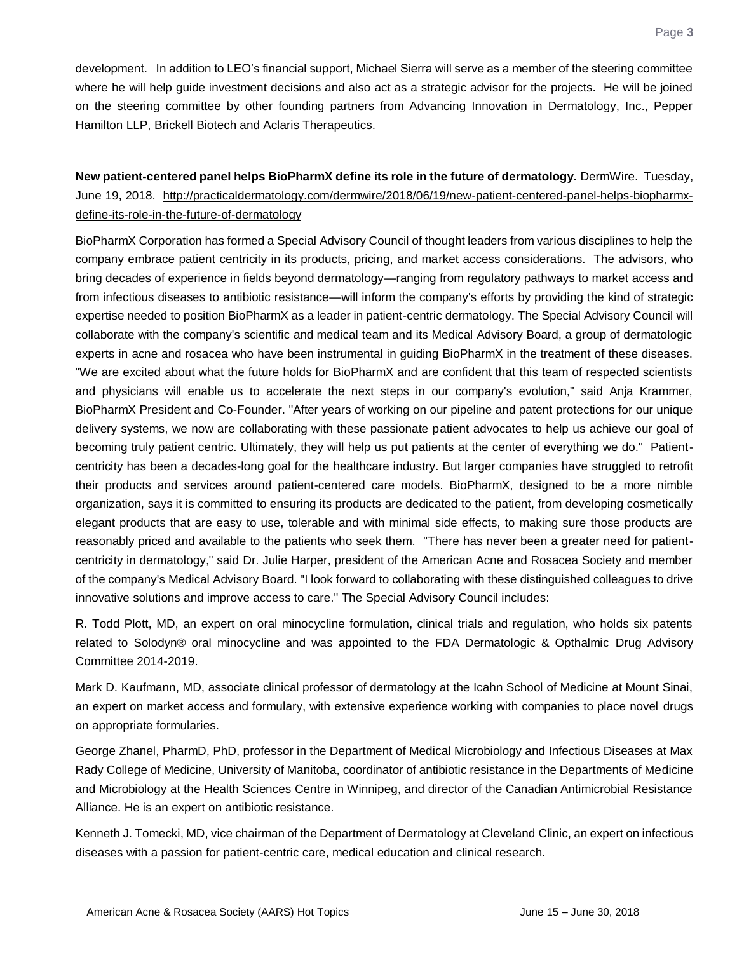development. In addition to LEO's financial support, Michael Sierra will serve as a member of the steering committee where he will help guide investment decisions and also act as a strategic advisor for the projects. He will be joined on the steering committee by other founding partners from Advancing Innovation in Dermatology, Inc., Pepper Hamilton LLP, Brickell Biotech and Aclaris Therapeutics.

#### <span id="page-3-0"></span>**New patient-centered panel helps BioPharmX define its role in the future of dermatology.** DermWire. Tuesday, June 19, 2018. [http://practicaldermatology.com/dermwire/2018/06/19/new-patient-centered-panel-helps-biopharmx](http://practicaldermatology.com/dermwire/2018/06/19/new-patient-centered-panel-helps-biopharmx-define-its-role-in-the-future-of-dermatology)[define-its-role-in-the-future-of-dermatology](http://practicaldermatology.com/dermwire/2018/06/19/new-patient-centered-panel-helps-biopharmx-define-its-role-in-the-future-of-dermatology)

BioPharmX Corporation has formed a Special Advisory Council of thought leaders from various disciplines to help the company embrace patient centricity in its products, pricing, and market access considerations. The advisors, who bring decades of experience in fields beyond dermatology—ranging from regulatory pathways to market access and from infectious diseases to antibiotic resistance—will inform the company's efforts by providing the kind of strategic expertise needed to position BioPharmX as a leader in patient-centric dermatology. The Special Advisory Council will collaborate with the company's scientific and medical team and its Medical Advisory Board, a group of dermatologic experts in acne and rosacea who have been instrumental in guiding BioPharmX in the treatment of these diseases. "We are excited about what the future holds for BioPharmX and are confident that this team of respected scientists and physicians will enable us to accelerate the next steps in our company's evolution," said Anja Krammer, BioPharmX President and Co-Founder. "After years of working on our pipeline and patent protections for our unique delivery systems, we now are collaborating with these passionate patient advocates to help us achieve our goal of becoming truly patient centric. Ultimately, they will help us put patients at the center of everything we do." Patientcentricity has been a decades-long goal for the healthcare industry. But larger companies have struggled to retrofit their products and services around patient-centered care models. BioPharmX, designed to be a more nimble organization, says it is committed to ensuring its products are dedicated to the patient, from developing cosmetically elegant products that are easy to use, tolerable and with minimal side effects, to making sure those products are reasonably priced and available to the patients who seek them. "There has never been a greater need for patientcentricity in dermatology," said Dr. Julie Harper, president of the American Acne and Rosacea Society and member of the company's Medical Advisory Board. "I look forward to collaborating with these distinguished colleagues to drive innovative solutions and improve access to care." The Special Advisory Council includes:

R. Todd Plott, MD, an expert on oral minocycline formulation, clinical trials and regulation, who holds six patents related to Solodyn® oral minocycline and was appointed to the FDA Dermatologic & Opthalmic Drug Advisory Committee 2014-2019.

Mark D. Kaufmann, MD, associate clinical professor of dermatology at the Icahn School of Medicine at Mount Sinai, an expert on market access and formulary, with extensive experience working with companies to place novel drugs on appropriate formularies.

George Zhanel, PharmD, PhD, professor in the Department of Medical Microbiology and Infectious Diseases at Max Rady College of Medicine, University of Manitoba, coordinator of antibiotic resistance in the Departments of Medicine and Microbiology at the Health Sciences Centre in Winnipeg, and director of the Canadian Antimicrobial Resistance Alliance. He is an expert on antibiotic resistance.

Kenneth J. Tomecki, MD, vice chairman of the Department of Dermatology at Cleveland Clinic, an expert on infectious diseases with a passion for patient-centric care, medical education and clinical research.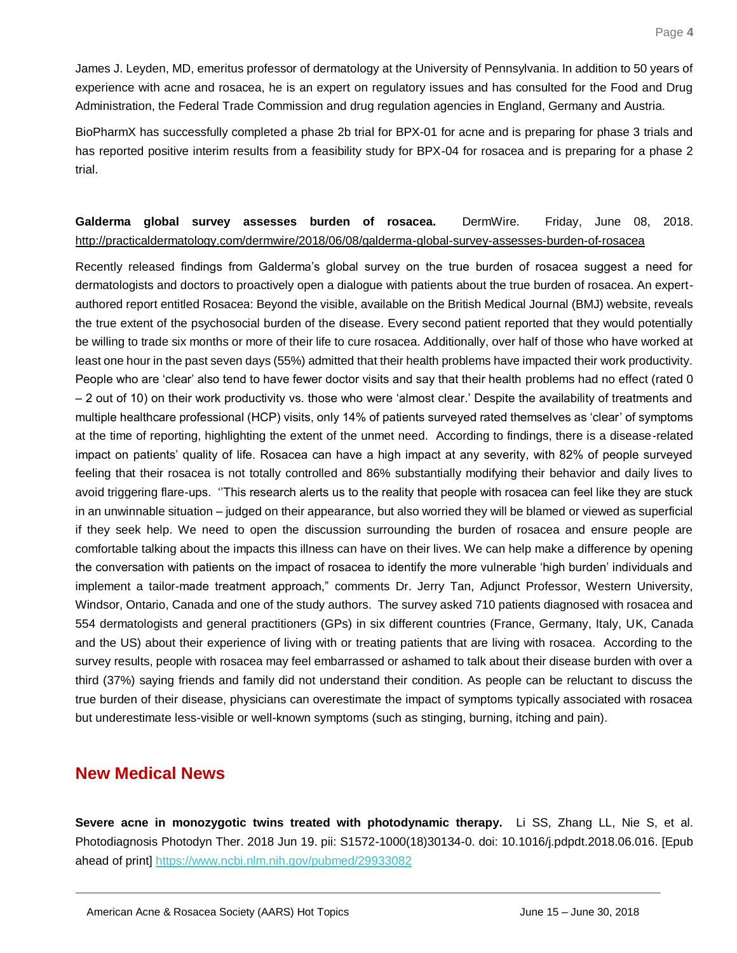James J. Leyden, MD, emeritus professor of dermatology at the University of Pennsylvania. In addition to 50 years of experience with acne and rosacea, he is an expert on regulatory issues and has consulted for the Food and Drug Administration, the Federal Trade Commission and drug regulation agencies in England, Germany and Austria.

BioPharmX has successfully completed a phase 2b trial for BPX-01 for acne and is preparing for phase 3 trials and has reported positive interim results from a feasibility study for BPX-04 for rosacea and is preparing for a phase 2 trial.

#### <span id="page-4-0"></span>**Galderma global survey assesses burden of rosacea.** DermWire. Friday, June 08, 2018. <http://practicaldermatology.com/dermwire/2018/06/08/galderma-global-survey-assesses-burden-of-rosacea>

Recently released findings from Galderma's global survey on the true burden of rosacea suggest a need for dermatologists and doctors to proactively open a dialogue with patients about the true burden of rosacea. An expertauthored report entitled Rosacea: Beyond the visible, available on the British Medical Journal (BMJ) website, reveals the true extent of the psychosocial burden of the disease. Every second patient reported that they would potentially be willing to trade six months or more of their life to cure rosacea. Additionally, over half of those who have worked at least one hour in the past seven days (55%) admitted that their health problems have impacted their work productivity. People who are 'clear' also tend to have fewer doctor visits and say that their health problems had no effect (rated 0 – 2 out of 10) on their work productivity vs. those who were 'almost clear.' Despite the availability of treatments and multiple healthcare professional (HCP) visits, only 14% of patients surveyed rated themselves as 'clear' of symptoms at the time of reporting, highlighting the extent of the unmet need. According to findings, there is a disease-related impact on patients' quality of life. Rosacea can have a high impact at any severity, with 82% of people surveyed feeling that their rosacea is not totally controlled and 86% substantially modifying their behavior and daily lives to avoid triggering flare-ups. ''This research alerts us to the reality that people with rosacea can feel like they are stuck in an unwinnable situation – judged on their appearance, but also worried they will be blamed or viewed as superficial if they seek help. We need to open the discussion surrounding the burden of rosacea and ensure people are comfortable talking about the impacts this illness can have on their lives. We can help make a difference by opening the conversation with patients on the impact of rosacea to identify the more vulnerable 'high burden' individuals and implement a tailor-made treatment approach," comments Dr. Jerry Tan, Adjunct Professor, Western University, Windsor, Ontario, Canada and one of the study authors. The survey asked 710 patients diagnosed with rosacea and 554 dermatologists and general practitioners (GPs) in six different countries (France, Germany, Italy, UK, Canada and the US) about their experience of living with or treating patients that are living with rosacea. According to the survey results, people with rosacea may feel embarrassed or ashamed to talk about their disease burden with over a third (37%) saying friends and family did not understand their condition. As people can be reluctant to discuss the true burden of their disease, physicians can overestimate the impact of symptoms typically associated with rosacea but underestimate less-visible or well-known symptoms (such as stinging, burning, itching and pain).

#### **New Medical News**

<span id="page-4-1"></span>**Severe acne in monozygotic twins treated with photodynamic therapy.** Li SS, Zhang LL, Nie S, et al. Photodiagnosis Photodyn Ther. 2018 Jun 19. pii: S1572-1000(18)30134-0. doi: 10.1016/j.pdpdt.2018.06.016. [Epub ahead of print]<https://www.ncbi.nlm.nih.gov/pubmed/29933082>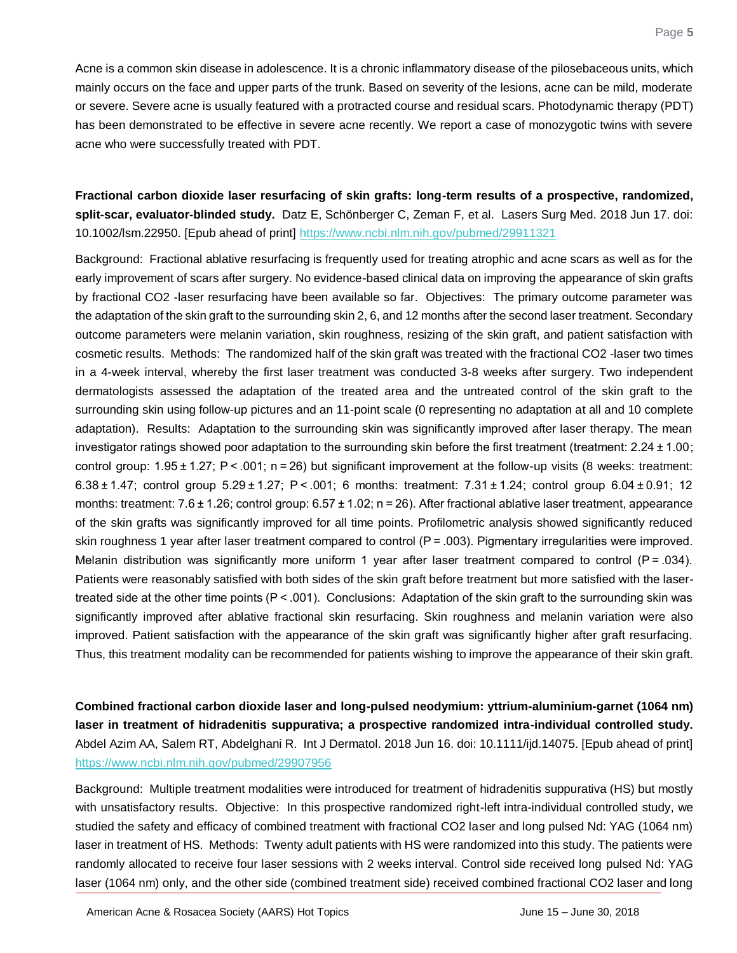Acne is a common skin disease in adolescence. It is a chronic inflammatory disease of the pilosebaceous units, which mainly occurs on the face and upper parts of the trunk. Based on severity of the lesions, acne can be mild, moderate or severe. Severe acne is usually featured with a protracted course and residual scars. Photodynamic therapy (PDT) has been demonstrated to be effective in severe acne recently. We report a case of monozygotic twins with severe acne who were successfully treated with PDT.

<span id="page-5-0"></span>**Fractional carbon dioxide laser resurfacing of skin grafts: long-term results of a prospective, randomized, split-scar, evaluator-blinded study.** Datz E, Schönberger C, Zeman F, et al. Lasers Surg Med. 2018 Jun 17. doi: 10.1002/lsm.22950. [Epub ahead of print]<https://www.ncbi.nlm.nih.gov/pubmed/29911321>

Background: Fractional ablative resurfacing is frequently used for treating atrophic and acne scars as well as for the early improvement of scars after surgery. No evidence-based clinical data on improving the appearance of skin grafts by fractional CO2 -laser resurfacing have been available so far. Objectives: The primary outcome parameter was the adaptation of the skin graft to the surrounding skin 2, 6, and 12 months after the second laser treatment. Secondary outcome parameters were melanin variation, skin roughness, resizing of the skin graft, and patient satisfaction with cosmetic results. Methods: The randomized half of the skin graft was treated with the fractional CO2 -laser two times in a 4-week interval, whereby the first laser treatment was conducted 3-8 weeks after surgery. Two independent dermatologists assessed the adaptation of the treated area and the untreated control of the skin graft to the surrounding skin using follow-up pictures and an 11-point scale (0 representing no adaptation at all and 10 complete adaptation). Results: Adaptation to the surrounding skin was significantly improved after laser therapy. The mean investigator ratings showed poor adaptation to the surrounding skin before the first treatment (treatment: 2.24 ± 1.00; control group:  $1.95 \pm 1.27$ ; P < .001; n = 26) but significant improvement at the follow-up visits (8 weeks: treatment: 6.38 ± 1.47; control group 5.29 ± 1.27; P < .001; 6 months: treatment: 7.31 ± 1.24; control group 6.04 ± 0.91; 12 months: treatment:  $7.6 \pm 1.26$ ; control group:  $6.57 \pm 1.02$ ; n = 26). After fractional ablative laser treatment, appearance of the skin grafts was significantly improved for all time points. Profilometric analysis showed significantly reduced skin roughness 1 year after laser treatment compared to control (P = .003). Pigmentary irregularities were improved. Melanin distribution was significantly more uniform 1 year after laser treatment compared to control  $(P = .034)$ . Patients were reasonably satisfied with both sides of the skin graft before treatment but more satisfied with the lasertreated side at the other time points  $(P < .001)$ . Conclusions: Adaptation of the skin graft to the surrounding skin was significantly improved after ablative fractional skin resurfacing. Skin roughness and melanin variation were also improved. Patient satisfaction with the appearance of the skin graft was significantly higher after graft resurfacing. Thus, this treatment modality can be recommended for patients wishing to improve the appearance of their skin graft.

<span id="page-5-1"></span>**Combined fractional carbon dioxide laser and long-pulsed neodymium: yttrium-aluminium-garnet (1064 nm) laser in treatment of hidradenitis suppurativa; a prospective randomized intra-individual controlled study.** Abdel Azim AA, Salem RT, Abdelghani R. Int J Dermatol. 2018 Jun 16. doi: 10.1111/ijd.14075. [Epub ahead of print] <https://www.ncbi.nlm.nih.gov/pubmed/29907956>

Background: Multiple treatment modalities were introduced for treatment of hidradenitis suppurativa (HS) but mostly with unsatisfactory results. Objective: In this prospective randomized right-left intra-individual controlled study, we studied the safety and efficacy of combined treatment with fractional CO2 laser and long pulsed Nd: YAG (1064 nm) laser in treatment of HS. Methods: Twenty adult patients with HS were randomized into this study. The patients were randomly allocated to receive four laser sessions with 2 weeks interval. Control side received long pulsed Nd: YAG laser (1064 nm) only, and the other side (combined treatment side) received combined fractional CO2 laser and long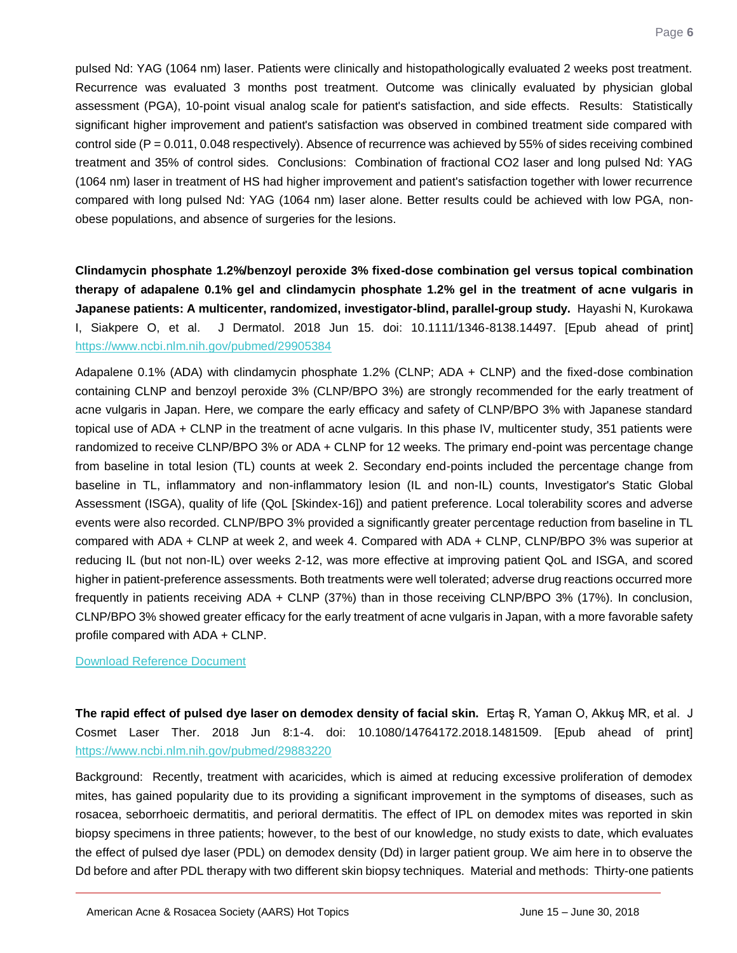pulsed Nd: YAG (1064 nm) laser. Patients were clinically and histopathologically evaluated 2 weeks post treatment. Recurrence was evaluated 3 months post treatment. Outcome was clinically evaluated by physician global assessment (PGA), 10-point visual analog scale for patient's satisfaction, and side effects. Results: Statistically significant higher improvement and patient's satisfaction was observed in combined treatment side compared with control side (P = 0.011, 0.048 respectively). Absence of recurrence was achieved by 55% of sides receiving combined treatment and 35% of control sides. Conclusions: Combination of fractional CO2 laser and long pulsed Nd: YAG (1064 nm) laser in treatment of HS had higher improvement and patient's satisfaction together with lower recurrence compared with long pulsed Nd: YAG (1064 nm) laser alone. Better results could be achieved with low PGA, nonobese populations, and absence of surgeries for the lesions.

<span id="page-6-0"></span>**Clindamycin phosphate 1.2%/benzoyl peroxide 3% fixed-dose combination gel versus topical combination therapy of adapalene 0.1% gel and clindamycin phosphate 1.2% gel in the treatment of acne vulgaris in Japanese patients: A multicenter, randomized, investigator-blind, parallel-group study.** Hayashi N, Kurokawa I, Siakpere O, et al. J Dermatol. 2018 Jun 15. doi: 10.1111/1346-8138.14497. [Epub ahead of print] <https://www.ncbi.nlm.nih.gov/pubmed/29905384>

Adapalene 0.1% (ADA) with clindamycin phosphate 1.2% (CLNP; ADA + CLNP) and the fixed-dose combination containing CLNP and benzoyl peroxide 3% (CLNP/BPO 3%) are strongly recommended for the early treatment of acne vulgaris in Japan. Here, we compare the early efficacy and safety of CLNP/BPO 3% with Japanese standard topical use of ADA + CLNP in the treatment of acne vulgaris. In this phase IV, multicenter study, 351 patients were randomized to receive CLNP/BPO 3% or ADA + CLNP for 12 weeks. The primary end-point was percentage change from baseline in total lesion (TL) counts at week 2. Secondary end-points included the percentage change from baseline in TL, inflammatory and non-inflammatory lesion (IL and non-IL) counts, Investigator's Static Global Assessment (ISGA), quality of life (QoL [Skindex-16]) and patient preference. Local tolerability scores and adverse events were also recorded. CLNP/BPO 3% provided a significantly greater percentage reduction from baseline in TL compared with ADA + CLNP at week 2, and week 4. Compared with ADA + CLNP, CLNP/BPO 3% was superior at reducing IL (but not non-IL) over weeks 2-12, was more effective at improving patient QoL and ISGA, and scored higher in patient-preference assessments. Both treatments were well tolerated; adverse drug reactions occurred more frequently in patients receiving ADA + CLNP (37%) than in those receiving CLNP/BPO 3% (17%). In conclusion, CLNP/BPO 3% showed greater efficacy for the early treatment of acne vulgaris in Japan, with a more favorable safety profile compared with ADA + CLNP.

#### [Download Reference Document](http://files.constantcontact.com/c2fa20d1101/e87d2cdd-5419-43a7-9398-7713b206e10f.pdf?ver=1530233414000)

<span id="page-6-1"></span>**The rapid effect of pulsed dye laser on demodex density of facial skin.** Ertaş R, Yaman O, Akkuş MR, et al. J Cosmet Laser Ther. 2018 Jun 8:1-4. doi: 10.1080/14764172.2018.1481509. [Epub ahead of print] <https://www.ncbi.nlm.nih.gov/pubmed/29883220>

Background: Recently, treatment with acaricides, which is aimed at reducing excessive proliferation of demodex mites, has gained popularity due to its providing a significant improvement in the symptoms of diseases, such as rosacea, seborrhoeic dermatitis, and perioral dermatitis. The effect of IPL on demodex mites was reported in skin biopsy specimens in three patients; however, to the best of our knowledge, no study exists to date, which evaluates the effect of pulsed dye laser (PDL) on demodex density (Dd) in larger patient group. We aim here in to observe the Dd before and after PDL therapy with two different skin biopsy techniques. Material and methods: Thirty-one patients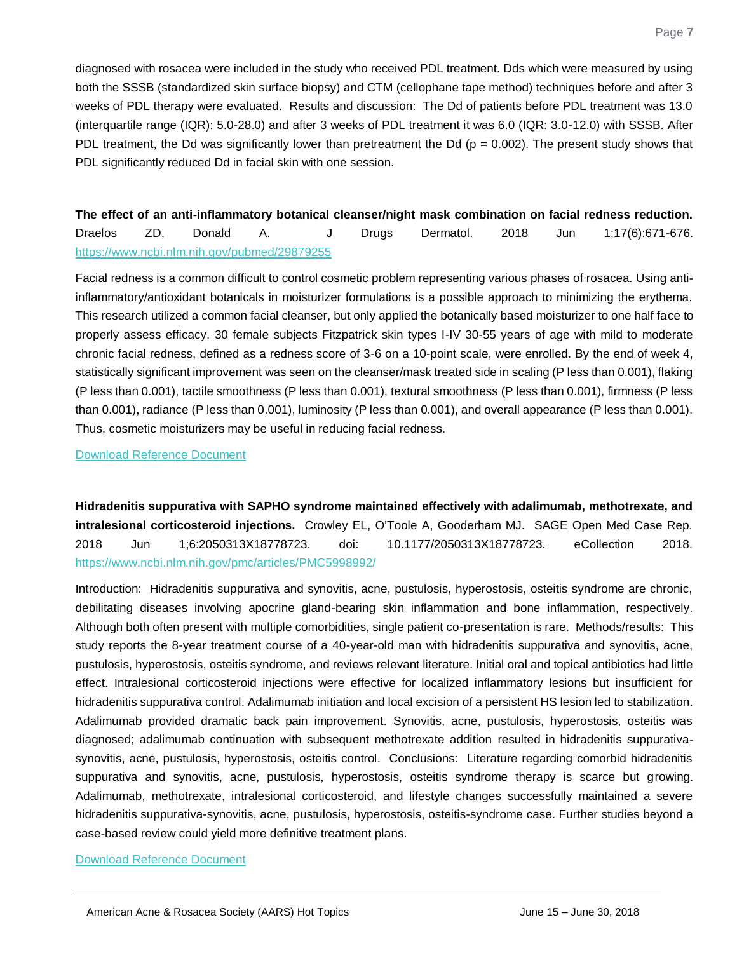diagnosed with rosacea were included in the study who received PDL treatment. Dds which were measured by using both the SSSB (standardized skin surface biopsy) and CTM (cellophane tape method) techniques before and after 3 weeks of PDL therapy were evaluated. Results and discussion: The Dd of patients before PDL treatment was 13.0 (interquartile range (IQR): 5.0-28.0) and after 3 weeks of PDL treatment it was 6.0 (IQR: 3.0-12.0) with SSSB. After PDL treatment, the Dd was significantly lower than pretreatment the Dd ( $p = 0.002$ ). The present study shows that PDL significantly reduced Dd in facial skin with one session.

<span id="page-7-0"></span>**The effect of an anti-inflammatory botanical cleanser/night mask combination on facial redness reduction.** Draelos ZD, Donald A. J Drugs Dermatol. 2018 Jun 1;17(6):671-676. <https://www.ncbi.nlm.nih.gov/pubmed/29879255>

Facial redness is a common difficult to control cosmetic problem representing various phases of rosacea. Using antiinflammatory/antioxidant botanicals in moisturizer formulations is a possible approach to minimizing the erythema. This research utilized a common facial cleanser, but only applied the botanically based moisturizer to one half face to properly assess efficacy. 30 female subjects Fitzpatrick skin types I-IV 30-55 years of age with mild to moderate chronic facial redness, defined as a redness score of 3-6 on a 10-point scale, were enrolled. By the end of week 4, statistically significant improvement was seen on the cleanser/mask treated side in scaling (P less than 0.001), flaking (P less than 0.001), tactile smoothness (P less than 0.001), textural smoothness (P less than 0.001), firmness (P less than 0.001), radiance (P less than 0.001), luminosity (P less than 0.001), and overall appearance (P less than 0.001). Thus, cosmetic moisturizers may be useful in reducing facial redness.

[Download Reference Document](http://files.constantcontact.com/c2fa20d1101/5a561a06-aae1-4f85-b933-21c6159ba149.pdf?ver=1530233412000)

<span id="page-7-1"></span>**Hidradenitis suppurativa with SAPHO syndrome maintained effectively with adalimumab, methotrexate, and intralesional corticosteroid injections.** Crowley EL, O'Toole A, Gooderham MJ. SAGE Open Med Case Rep. 2018 Jun 1;6:2050313X18778723. doi: 10.1177/2050313X18778723. eCollection 2018. <https://www.ncbi.nlm.nih.gov/pmc/articles/PMC5998992/>

Introduction: Hidradenitis suppurativa and synovitis, acne, pustulosis, hyperostosis, osteitis syndrome are chronic, debilitating diseases involving apocrine gland-bearing skin inflammation and bone inflammation, respectively. Although both often present with multiple comorbidities, single patient co-presentation is rare. Methods/results: This study reports the 8-year treatment course of a 40-year-old man with hidradenitis suppurativa and synovitis, acne, pustulosis, hyperostosis, osteitis syndrome, and reviews relevant literature. Initial oral and topical antibiotics had little effect. Intralesional corticosteroid injections were effective for localized inflammatory lesions but insufficient for hidradenitis suppurativa control. Adalimumab initiation and local excision of a persistent HS lesion led to stabilization. Adalimumab provided dramatic back pain improvement. Synovitis, acne, pustulosis, hyperostosis, osteitis was diagnosed; adalimumab continuation with subsequent methotrexate addition resulted in hidradenitis suppurativasynovitis, acne, pustulosis, hyperostosis, osteitis control. Conclusions: Literature regarding comorbid hidradenitis suppurativa and synovitis, acne, pustulosis, hyperostosis, osteitis syndrome therapy is scarce but growing. Adalimumab, methotrexate, intralesional corticosteroid, and lifestyle changes successfully maintained a severe hidradenitis suppurativa-synovitis, acne, pustulosis, hyperostosis, osteitis-syndrome case. Further studies beyond a case-based review could yield more definitive treatment plans.

#### [Download Reference Document](http://files.constantcontact.com/c2fa20d1101/c9a300c4-601c-4afd-accf-94da5c1cb369.pdf?ver=1530233409000)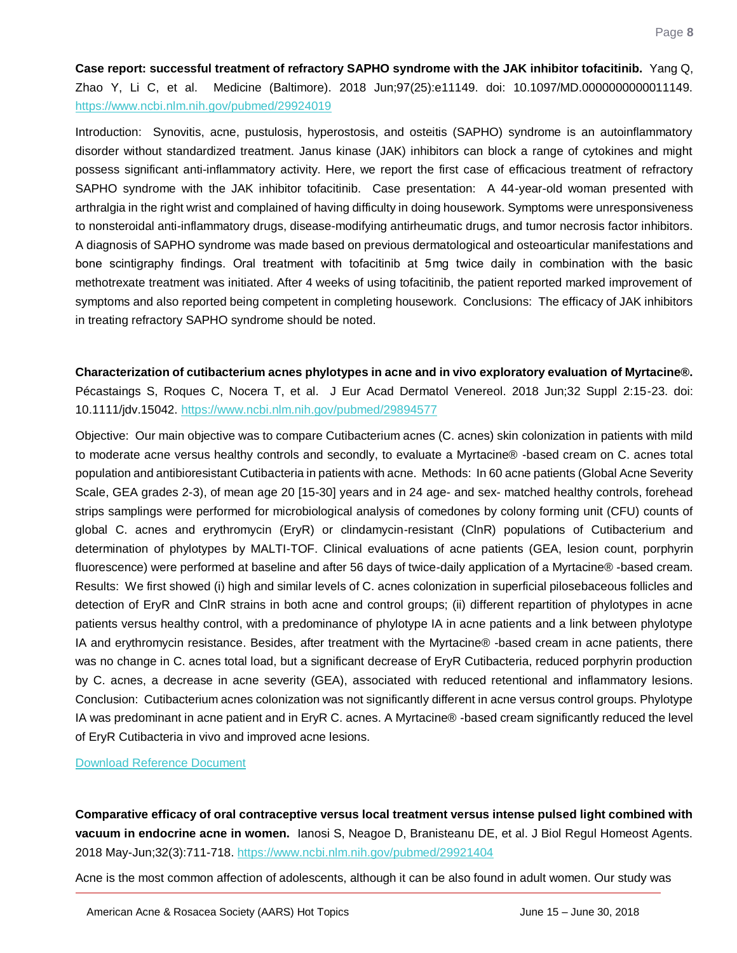<span id="page-8-0"></span>**Case report: successful treatment of refractory SAPHO syndrome with the JAK inhibitor tofacitinib.** Yang Q, Zhao Y, Li C, et al. Medicine (Baltimore). 2018 Jun;97(25):e11149. doi: 10.1097/MD.0000000000011149. <https://www.ncbi.nlm.nih.gov/pubmed/29924019>

Introduction: Synovitis, acne, pustulosis, hyperostosis, and osteitis (SAPHO) syndrome is an autoinflammatory disorder without standardized treatment. Janus kinase (JAK) inhibitors can block a range of cytokines and might possess significant anti-inflammatory activity. Here, we report the first case of efficacious treatment of refractory SAPHO syndrome with the JAK inhibitor tofacitinib. Case presentation: A 44-year-old woman presented with arthralgia in the right wrist and complained of having difficulty in doing housework. Symptoms were unresponsiveness to nonsteroidal anti-inflammatory drugs, disease-modifying antirheumatic drugs, and tumor necrosis factor inhibitors. A diagnosis of SAPHO syndrome was made based on previous dermatological and osteoarticular manifestations and bone scintigraphy findings. Oral treatment with tofacitinib at 5 mg twice daily in combination with the basic methotrexate treatment was initiated. After 4 weeks of using tofacitinib, the patient reported marked improvement of symptoms and also reported being competent in completing housework. Conclusions: The efficacy of JAK inhibitors in treating refractory SAPHO syndrome should be noted.

<span id="page-8-1"></span>**Characterization of cutibacterium acnes phylotypes in acne and in vivo exploratory evaluation of Myrtacine®.** Pécastaings S, Roques C, Nocera T, et al. J Eur Acad Dermatol Venereol. 2018 Jun;32 Suppl 2:15-23. doi: 10.1111/jdv.15042.<https://www.ncbi.nlm.nih.gov/pubmed/29894577>

Objective: Our main objective was to compare Cutibacterium acnes (C. acnes) skin colonization in patients with mild to moderate acne versus healthy controls and secondly, to evaluate a Myrtacine® -based cream on C. acnes total population and antibioresistant Cutibacteria in patients with acne. Methods: In 60 acne patients (Global Acne Severity Scale, GEA grades 2-3), of mean age 20 [15-30] years and in 24 age- and sex- matched healthy controls, forehead strips samplings were performed for microbiological analysis of comedones by colony forming unit (CFU) counts of global C. acnes and erythromycin (EryR) or clindamycin-resistant (ClnR) populations of Cutibacterium and determination of phylotypes by MALTI-TOF. Clinical evaluations of acne patients (GEA, lesion count, porphyrin fluorescence) were performed at baseline and after 56 days of twice-daily application of a Myrtacine® -based cream. Results: We first showed (i) high and similar levels of C. acnes colonization in superficial pilosebaceous follicles and detection of EryR and ClnR strains in both acne and control groups; (ii) different repartition of phylotypes in acne patients versus healthy control, with a predominance of phylotype IA in acne patients and a link between phylotype IA and erythromycin resistance. Besides, after treatment with the Myrtacine® -based cream in acne patients, there was no change in C. acnes total load, but a significant decrease of EryR Cutibacteria, reduced porphyrin production by C. acnes, a decrease in acne severity (GEA), associated with reduced retentional and inflammatory lesions. Conclusion: Cutibacterium acnes colonization was not significantly different in acne versus control groups. Phylotype IA was predominant in acne patient and in EryR C. acnes. A Myrtacine® -based cream significantly reduced the level of EryR Cutibacteria in vivo and improved acne lesions.

[Download Reference Document](http://files.constantcontact.com/c2fa20d1101/453826b5-3ca7-469e-8591-69957a382c72.pdf?ver=1530233417000)

<span id="page-8-2"></span>**Comparative efficacy of oral contraceptive versus local treatment versus intense pulsed light combined with vacuum in endocrine acne in women.** Ianosi S, Neagoe D, Branisteanu DE, et al. J Biol Regul Homeost Agents. 2018 May-Jun;32(3):711-718.<https://www.ncbi.nlm.nih.gov/pubmed/29921404>

Acne is the most common affection of adolescents, although it can be also found in adult women. Our study was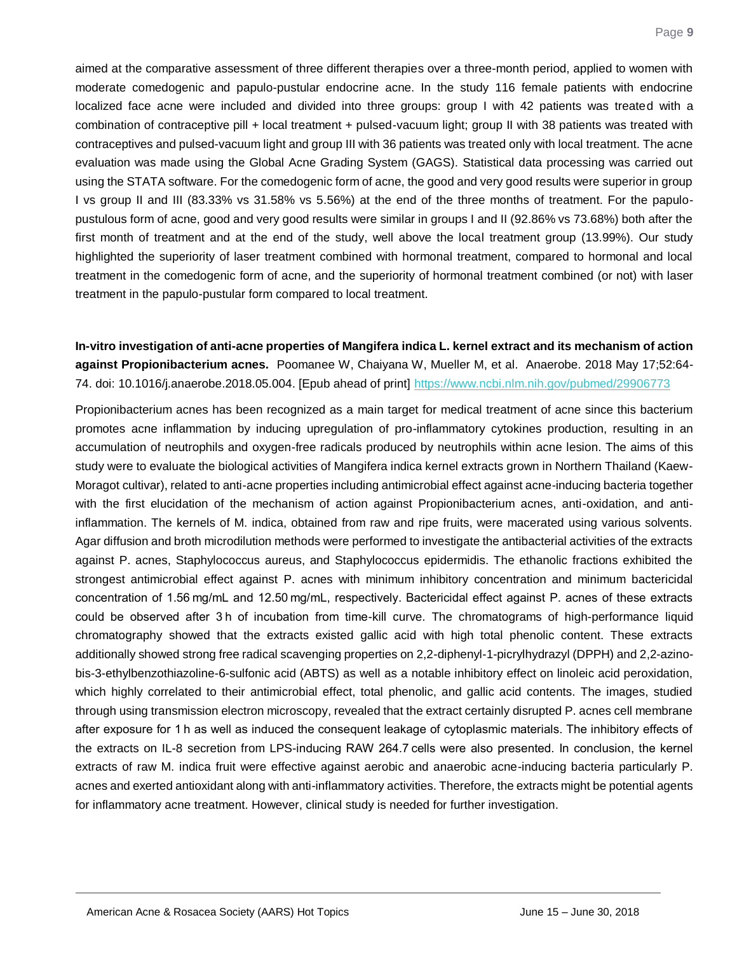aimed at the comparative assessment of three different therapies over a three-month period, applied to women with moderate comedogenic and papulo-pustular endocrine acne. In the study 116 female patients with endocrine localized face acne were included and divided into three groups: group I with 42 patients was treated with a combination of contraceptive pill + local treatment + pulsed-vacuum light; group II with 38 patients was treated with contraceptives and pulsed-vacuum light and group III with 36 patients was treated only with local treatment. The acne evaluation was made using the Global Acne Grading System (GAGS). Statistical data processing was carried out using the STATA software. For the comedogenic form of acne, the good and very good results were superior in group I vs group II and III (83.33% vs 31.58% vs 5.56%) at the end of the three months of treatment. For the papulopustulous form of acne, good and very good results were similar in groups I and II (92.86% vs 73.68%) both after the first month of treatment and at the end of the study, well above the local treatment group (13.99%). Our study highlighted the superiority of laser treatment combined with hormonal treatment, compared to hormonal and local treatment in the comedogenic form of acne, and the superiority of hormonal treatment combined (or not) with laser treatment in the papulo-pustular form compared to local treatment.

#### <span id="page-9-0"></span>**In-vitro investigation of anti-acne properties of Mangifera indica L. kernel extract and its mechanism of action against Propionibacterium acnes.** Poomanee W, Chaiyana W, Mueller M, et al. Anaerobe. 2018 May 17;52:64- 74. doi: 10.1016/j.anaerobe.2018.05.004. [Epub ahead of print]<https://www.ncbi.nlm.nih.gov/pubmed/29906773>

Propionibacterium acnes has been recognized as a main target for medical treatment of acne since this bacterium promotes acne inflammation by inducing upregulation of pro-inflammatory cytokines production, resulting in an accumulation of neutrophils and oxygen-free radicals produced by neutrophils within acne lesion. The aims of this study were to evaluate the biological activities of Mangifera indica kernel extracts grown in Northern Thailand (Kaew-Moragot cultivar), related to anti-acne properties including antimicrobial effect against acne-inducing bacteria together with the first elucidation of the mechanism of action against Propionibacterium acnes, anti-oxidation, and antiinflammation. The kernels of M. indica, obtained from raw and ripe fruits, were macerated using various solvents. Agar diffusion and broth microdilution methods were performed to investigate the antibacterial activities of the extracts against P. acnes, Staphylococcus aureus, and Staphylococcus epidermidis. The ethanolic fractions exhibited the strongest antimicrobial effect against P. acnes with minimum inhibitory concentration and minimum bactericidal concentration of 1.56 mg/mL and 12.50 mg/mL, respectively. Bactericidal effect against P. acnes of these extracts could be observed after 3 h of incubation from time-kill curve. The chromatograms of high-performance liquid chromatography showed that the extracts existed gallic acid with high total phenolic content. These extracts additionally showed strong free radical scavenging properties on 2,2-diphenyl-1-picrylhydrazyl (DPPH) and 2,2-azinobis-3-ethylbenzothiazoline-6-sulfonic acid (ABTS) as well as a notable inhibitory effect on linoleic acid peroxidation, which highly correlated to their antimicrobial effect, total phenolic, and gallic acid contents. The images, studied through using transmission electron microscopy, revealed that the extract certainly disrupted P. acnes cell membrane after exposure for 1 h as well as induced the consequent leakage of cytoplasmic materials. The inhibitory effects of the extracts on IL-8 secretion from LPS-inducing RAW 264.7 cells were also presented. In conclusion, the kernel extracts of raw M. indica fruit were effective against aerobic and anaerobic acne-inducing bacteria particularly P. acnes and exerted antioxidant along with anti-inflammatory activities. Therefore, the extracts might be potential agents for inflammatory acne treatment. However, clinical study is needed for further investigation.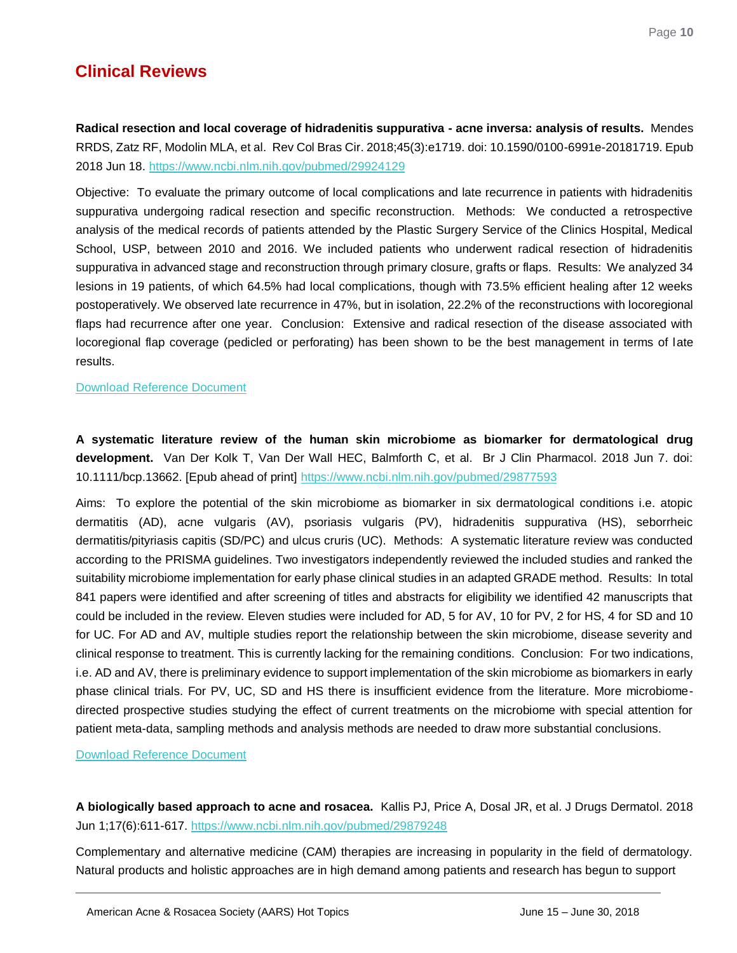<span id="page-10-0"></span>**Radical resection and local coverage of hidradenitis suppurativa - acne inversa: analysis of results.** Mendes RRDS, Zatz RF, Modolin MLA, et al. Rev Col Bras Cir. 2018;45(3):e1719. doi: 10.1590/0100-6991e-20181719. Epub 2018 Jun 18.<https://www.ncbi.nlm.nih.gov/pubmed/29924129>

Objective: To evaluate the primary outcome of local complications and late recurrence in patients with hidradenitis suppurativa undergoing radical resection and specific reconstruction. Methods: We conducted a retrospective analysis of the medical records of patients attended by the Plastic Surgery Service of the Clinics Hospital, Medical School, USP, between 2010 and 2016. We included patients who underwent radical resection of hidradenitis suppurativa in advanced stage and reconstruction through primary closure, grafts or flaps. Results: We analyzed 34 lesions in 19 patients, of which 64.5% had local complications, though with 73.5% efficient healing after 12 weeks postoperatively. We observed late recurrence in 47%, but in isolation, 22.2% of the reconstructions with locoregional flaps had recurrence after one year. Conclusion: Extensive and radical resection of the disease associated with locoregional flap coverage (pedicled or perforating) has been shown to be the best management in terms of late results.

#### [Download Reference Document](http://files.constantcontact.com/c2fa20d1101/25041d39-2dbe-45cf-87ab-b0f44908ecbf.pdf?ver=1530233416000)

<span id="page-10-1"></span>**A systematic literature review of the human skin microbiome as biomarker for dermatological drug development.** Van Der Kolk T, Van Der Wall HEC, Balmforth C, et al. Br J Clin Pharmacol. 2018 Jun 7. doi: 10.1111/bcp.13662. [Epub ahead of print]<https://www.ncbi.nlm.nih.gov/pubmed/29877593>

Aims: To explore the potential of the skin microbiome as biomarker in six dermatological conditions i.e. atopic dermatitis (AD), acne vulgaris (AV), psoriasis vulgaris (PV), hidradenitis suppurativa (HS), seborrheic dermatitis/pityriasis capitis (SD/PC) and ulcus cruris (UC). Methods: A systematic literature review was conducted according to the PRISMA guidelines. Two investigators independently reviewed the included studies and ranked the suitability microbiome implementation for early phase clinical studies in an adapted GRADE method. Results: In total 841 papers were identified and after screening of titles and abstracts for eligibility we identified 42 manuscripts that could be included in the review. Eleven studies were included for AD, 5 for AV, 10 for PV, 2 for HS, 4 for SD and 10 for UC. For AD and AV, multiple studies report the relationship between the skin microbiome, disease severity and clinical response to treatment. This is currently lacking for the remaining conditions. Conclusion: For two indications, i.e. AD and AV, there is preliminary evidence to support implementation of the skin microbiome as biomarkers in early phase clinical trials. For PV, UC, SD and HS there is insufficient evidence from the literature. More microbiomedirected prospective studies studying the effect of current treatments on the microbiome with special attention for patient meta-data, sampling methods and analysis methods are needed to draw more substantial conclusions.

[Download Reference Document](http://files.constantcontact.com/c2fa20d1101/25041d39-2dbe-45cf-87ab-b0f44908ecbf.pdf?ver=1530233416000)

<span id="page-10-2"></span>**A biologically based approach to acne and rosacea.** Kallis PJ, Price A, Dosal JR, et al. J Drugs Dermatol. 2018 Jun 1;17(6):611-617[. https://www.ncbi.nlm.nih.gov/pubmed/29879248](https://www.ncbi.nlm.nih.gov/pubmed/29879248)

Complementary and alternative medicine (CAM) therapies are increasing in popularity in the field of dermatology. Natural products and holistic approaches are in high demand among patients and research has begun to support